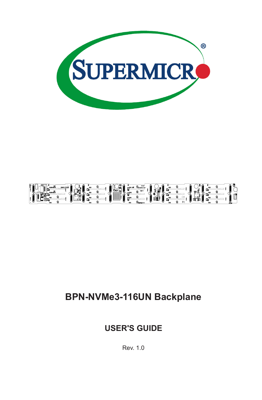



# **BPN-NVMe3-116UN Backplane**

## **USER'S GUIDE**

Rev. 1.0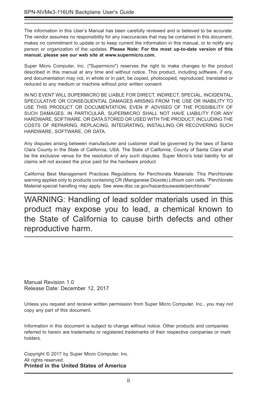The information in this User's Manual has been carefully reviewed and is believed to be accurate. The vendor assumes no responsibility for any inaccuracies that may be contained in this document, makes no commitment to update or to keep current the information in this manual, or to notify any person or organization of the updates. **Please Note: For the most up-to-date version of this manual, please see our web site at www.supermicro.com.**

Super Micro Computer, Inc. ("Supermicro") reserves the right to make changes to the product described in this manual at any time and without notice. This product, including software, if any, and documentation may not, in whole or in part, be copied, photocopied, reproduced, translated or reduced to any medium or machine without prior written consent.

IN NO EVENT WILL SUPERMICRO BE LIABLE FOR DIRECT, INDIRECT, SPECIAL, INCIDENTAL, SPECULATIVE OR CONSEQUENTIAL DAMAGES ARISING FROM THE USE OR INABILITY TO USE THIS PRODUCT OR DOCUMENTATION, EVEN IF ADVISED OF THE POSSIBILITY OF SUCH DAMAGES. IN PARTICULAR, SUPERMICRO SHALL NOT HAVE LIABILITY FOR ANY HARDWARE, SOFTWARE, OR DATA STORED OR USED WITH THE PRODUCT, INCLUDING THE COSTS OF REPAIRING, REPLACING, INTEGRATING, INSTALLING OR RECOVERING SUCH HARDWARE, SOFTWARE, OR DATA.

Any disputes arising between manufacturer and customer shall be governed by the laws of Santa Clara County in the State of California, USA. The State of California, County of Santa Clara shall be the exclusive venue for the resolution of any such disputes. Super Micro's total liability for all claims will not exceed the price paid for the hardware product.

California Best Management Practices Regulations for Perchlorate Materials: This Perchlorate warning applies only to products containing CR (Manganese Dioxide) Lithium coin cells. "Perchlorate Material-special handling may apply. See www.dtsc.ca.gov/hazardouswaste/perchlorate"

WARNING: Handling of lead solder materials used in this product may expose you to lead, a chemical known to the State of California to cause birth defects and other reproductive harm.

Manual Revision 1.0 Release Date: December 12, 2017

Unless you request and receive written permission from Super Micro Computer, Inc., you may not copy any part of this document.

Information in this document is subject to change without notice. Other products and companies referred to herein are trademarks or registered trademarks of their respective companies or mark holders.

Copyright © 2017 by Super Micro Computer, Inc. All rights reserved. **Printed in the United States of America**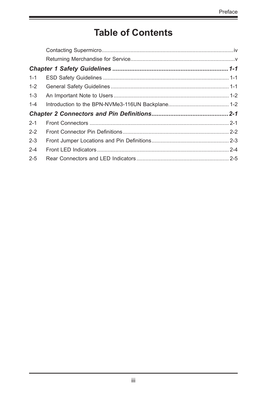# **Table of Contents**

| $1 - 1$ |  |  |  |  |  |
|---------|--|--|--|--|--|
| $1 - 2$ |  |  |  |  |  |
| $1 - 3$ |  |  |  |  |  |
| $1 - 4$ |  |  |  |  |  |
|         |  |  |  |  |  |
| $2 - 1$ |  |  |  |  |  |
| $2 - 2$ |  |  |  |  |  |
| $2 - 3$ |  |  |  |  |  |
| $2 - 4$ |  |  |  |  |  |
| $2 - 5$ |  |  |  |  |  |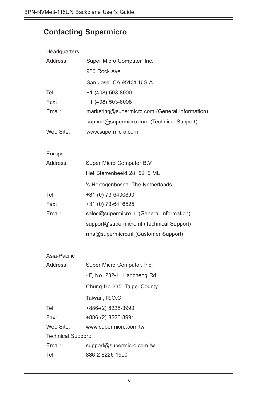# **Contacting Supermicro**

| Headquarters              |                                                |  |  |
|---------------------------|------------------------------------------------|--|--|
| Address:                  | Super Micro Computer, Inc.                     |  |  |
|                           | 980 Rock Ave.                                  |  |  |
|                           | San Jose, CA 95131 U.S.A.                      |  |  |
| Tel:                      | +1 (408) 503-8000                              |  |  |
| Fax:                      | +1 (408) 503-8008                              |  |  |
| Email:                    | marketing@supermicro.com (General Information) |  |  |
|                           | support@supermicro.com (Technical Support)     |  |  |
| Web Site:                 | www.supermicro.com                             |  |  |
|                           |                                                |  |  |
| Europe<br>Address:        | Super Micro Computer B.V.                      |  |  |
|                           | Het Sterrenbeeld 28, 5215 ML                   |  |  |
|                           |                                                |  |  |
|                           | 's-Hertogenbosch, The Netherlands              |  |  |
| Tel:                      | +31 (0) 73-6400390                             |  |  |
| Fax:                      | +31 (0) 73-6416525                             |  |  |
| Email:                    | sales@supermicro.nl (General Information)      |  |  |
|                           | support@supermicro.nl (Technical Support)      |  |  |
|                           | rma@supermicro.nl (Customer Support)           |  |  |
| Asia-Pacific              |                                                |  |  |
| Address:                  | Super Micro Computer, Inc.                     |  |  |
|                           | 4F, No. 232-1, Liancheng Rd.                   |  |  |
|                           | Chung-Ho 235, Taipei County                    |  |  |
|                           | Taiwan, R.O.C.                                 |  |  |
| Tel:                      | +886-(2) 8226-3990                             |  |  |
| Fax:                      | +886-(2) 8226-3991                             |  |  |
| Web Site:                 | www.supermicro.com.tw                          |  |  |
| <b>Technical Support:</b> |                                                |  |  |

Email: support@supermicro.com.tw

Tel: 886-2-8226-1900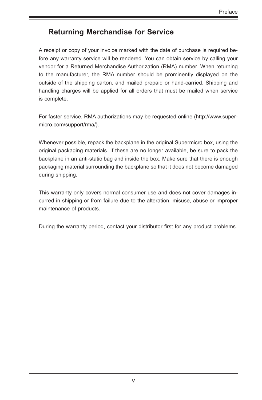### **Returning Merchandise for Service**

A receipt or copy of your invoice marked with the date of purchase is required before any warranty service will be rendered. You can obtain service by calling your vendor for a Returned Merchandise Authorization (RMA) number. When returning to the manufacturer, the RMA number should be prominently displayed on the outside of the shipping carton, and mailed prepaid or hand-carried. Shipping and handling charges will be applied for all orders that must be mailed when service is complete.

For faster service, RMA authorizations may be requested online (http://www.supermicro.com/support/rma/).

Whenever possible, repack the backplane in the original Supermicro box, using the original packaging materials. If these are no longer available, be sure to pack the backplane in an anti-static bag and inside the box. Make sure that there is enough packaging material surrounding the backplane so that it does not become damaged during shipping.

This warranty only covers normal consumer use and does not cover damages incurred in shipping or from failure due to the alteration, misuse, abuse or improper maintenance of products.

During the warranty period, contact your distributor first for any product problems.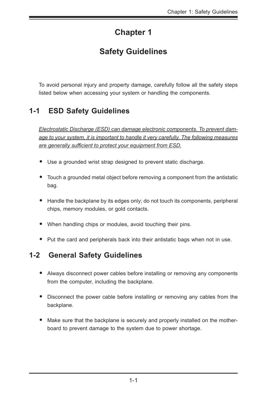# **Chapter 1**

# **Safety Guidelines**

To avoid personal injury and property damage, carefully follow all the safety steps listed below when accessing your system or handling the components.

## **1-1 ESD Safety Guidelines**

*Electrostatic Discharge (ESD) can damage electronic components. To prevent damage to your system, it is important to handle it very carefully. The following measures are generally sufficient to protect your equipment from ESD.*

- Use a grounded wrist strap designed to prevent static discharge.
- Touch a grounded metal object before removing a component from the antistatic bag.
- Handle the backplane by its edges only; do not touch its components, peripheral chips, memory modules, or gold contacts.
- When handling chips or modules, avoid touching their pins.
- Put the card and peripherals back into their antistatic bags when not in use.

### **1-2 General Safety Guidelines**

- Always disconnect power cables before installing or removing any components from the computer, including the backplane.
- Disconnect the power cable before installing or removing any cables from the backplane.
- Make sure that the backplane is securely and properly installed on the motherboard to prevent damage to the system due to power shortage.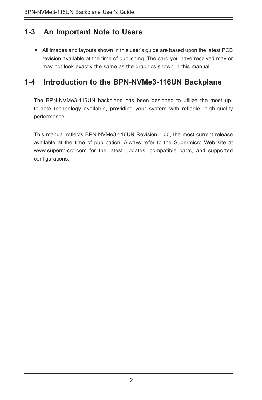### **1-3 An Important Note to Users**

• All images and layouts shown in this user's guide are based upon the latest PCB revision available at the time of publishing. The card you have received may or may not look exactly the same as the graphics shown in this manual.

### **1-4 Introduction to the BPN-NVMe3-116UN Backplane**

The BPN-NVMe3-116UN backplane has been designed to utilize the most upto-date technology available, providing your system with reliable, high-quality performance.

This manual reflects BPN-NVMe3-116UN Revision 1.00, the most current release available at the time of publication. Always refer to the Supermicro Web site at www.supermicro.com for the latest updates, compatible parts, and supported configurations.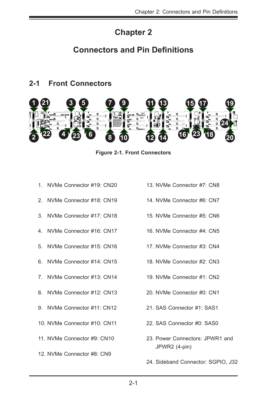# **Chapter 2**

## **Connectors and Pin Definitions**

### **2-1 Front Connectors**



**Figure 2-1. Front Connectors**

- 1. NVMe Connector #19: CN20
- 2. NVMe Connector #18: CN19
- 3. NVMe Connector #17: CN18
- 4. NVMe Connector #16: CN17
- 5. NVMe Connector #15: CN16
- 6. NVMe Connector #14: CN15
- 7. NVMe Connector #13: CN14
- 8. NVMe Connector #12: CN13
- 9. NVMe Connector #11: CN12
- 10. NVMe Connector #10: CN11
- 11. NVMe Connector #9: CN10
- 12. NVMe Connector #8: CN9
- 13. NVMe Connector #7: CN8
	- 14. NVMe Connector #6: CN7
	- 15. NVMe Connector #5: CN6
	- 16. NVMe Connector #4: CN5
	- 17. NVMe Connector #3: CN4
	- 18. NVMe Connector #2: CN3
	- 19. NVMe Connector #1: CN2
	- 20. NVMe Connector #0: CN1
	- 21. SAS Connector #1: SAS1
	- 22. SAS Connector #0: SAS0
	- 23. Power Connectors: JPWR1 and JPWR2 (4-pin)
	- 24. Sideband Connector: SGPIO, J32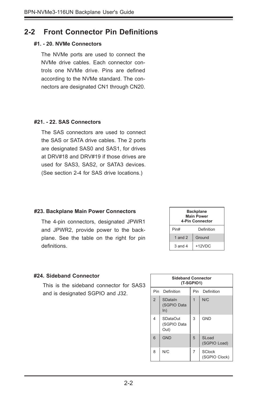#### **2-2 Front Connector Pin Definitions**

#### **#1. - 20. NVMe Connectors**

The NVMe ports are used to connect the NVMe drive cables. Each connector controls one NVMe drive. Pins are defined according to the NVMe standard. The connectors are designated CN1 through CN20.

#### **#21. - 22. SAS Connectors**

The SAS connectors are used to connect the SAS or SATA drive cables. The 2 ports are designated SAS0 and SAS1, for drives at DRV#18 and DRV#19 if those drives are used for SAS3, SAS2, or SATA3 devices. (See section 2-4 for SAS drive locations.)

#### **#23. Backplane Main Power Connectors**

The 4-pin connectors, designated JPWR1 and JPWR2, provide power to the backplane. See the table on the right for pin definitions.

| <b>Backplane</b><br><b>Main Power</b><br>4-Pin Connector |            |  |
|----------------------------------------------------------|------------|--|
| Pin#                                                     | Definition |  |
| 1 and $2$                                                | Ground     |  |
| $3$ and $4$                                              | $+12VDC$   |  |

#### **#24. Sideband Connector**

This is the sideband connector for SAS3 and is designated SGPIO and J32.

| <b>Sideband Connector</b><br>(T-SGPIO1) |                                 |                |                                |
|-----------------------------------------|---------------------------------|----------------|--------------------------------|
| Pin<br>Definition                       |                                 | Pin            | Definition                     |
| $\overline{2}$                          | SDataIn<br>(SGPIO Data<br>ln)   | $\overline{1}$ | N/C                            |
| 4                                       | SDataOut<br>(SGPIO Data<br>Out) | 3              | <b>GND</b>                     |
| 6                                       | <b>GND</b>                      | 5              | SLoad<br>(SGPIO Load)          |
| 8                                       | N/C                             | 7              | <b>SClock</b><br>(SGPIO Clock) |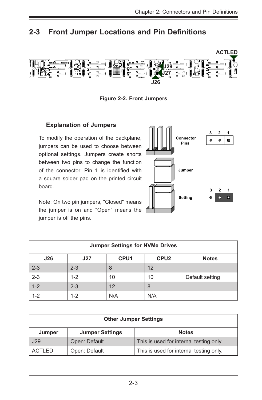## **2-3 Front Jumper Locations and Pin Definitions**



**Figure 2-2. Front Jumpers**

#### **Explanation of Jumpers**

To modify the operation of the backplane, jumpers can be used to choose between optional settings. Jumpers create shorts between two pins to change the function of the connector. Pin 1 is identified with a square solder pad on the printed circuit board.

Note: On two pin jumpers, "Closed" means the jumper is on and "Open" means the jumper is off the pins.



| <b>Jumper Settings for NVMe Drives</b>                             |         |     |     |                 |  |
|--------------------------------------------------------------------|---------|-----|-----|-----------------|--|
| CPU <sub>2</sub><br>CPU <sub>1</sub><br>J26<br><b>Notes</b><br>J27 |         |     |     |                 |  |
| $2 - 3$                                                            | $2 - 3$ | 8   | 12  |                 |  |
| $2 - 3$                                                            | $1 - 2$ | 10  | 10  | Default setting |  |
| $1 - 2$                                                            | $2 - 3$ | 12  | 8   |                 |  |
| $1 - 2$                                                            | $1 - 2$ | N/A | N/A |                 |  |

| <b>Other Jumper Settings</b>     |               |                                         |  |
|----------------------------------|---------------|-----------------------------------------|--|
| <b>Jumper Settings</b><br>Jumper |               | <b>Notes</b>                            |  |
| J29                              | Open: Default | This is used for internal testing only. |  |
| <b>ACTLED</b>                    | Open: Default | This is used for internal testing only. |  |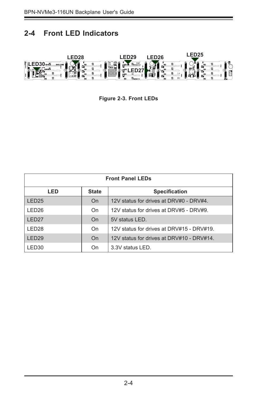### **2-4 Front LED Indicators**



**Figure 2-3. Front LEDs**

| <b>Front Panel LEDs</b>                     |    |                                           |  |
|---------------------------------------------|----|-------------------------------------------|--|
| LED<br><b>State</b><br><b>Specification</b> |    |                                           |  |
| LED <sub>25</sub>                           | On | 12V status for drives at DRV#0 - DRV#4.   |  |
| LED <sub>26</sub>                           | On | 12V status for drives at DRV#5 - DRV#9.   |  |
| LED <sub>27</sub>                           | On | 5V status LED.                            |  |
| LED <sub>28</sub>                           | On | 12V status for drives at DRV#15 - DRV#19. |  |
| LED <sub>29</sub>                           | On | 12V status for drives at DRV#10 - DRV#14. |  |
| I.ED30                                      | On | 3.3V status LED.                          |  |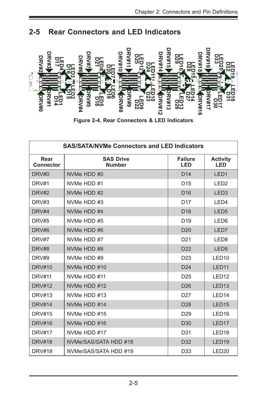



**Figure 2-4. Rear Connectors & LED Indicators**

| $\frac{8000}{80000}$     | <u>੍ਹਾ</u><br>Ġ<br>ದದ<br>ဖၐ<br>ᅆႍႍ<br>ワヌ<br>□⊞<br>え<br>る品<br>Figure 2-4. Rear Connectors & LED Indicators | <b>RV#15</b><br>თ     | <b>RV#19</b>           |
|--------------------------|-----------------------------------------------------------------------------------------------------------|-----------------------|------------------------|
|                          | <b>SAS/SATA/NVMe Connectors and LED Indicators</b>                                                        |                       |                        |
| Rear<br><b>Connector</b> | <b>SAS Drive</b><br><b>Number</b>                                                                         | <b>Failure</b><br>LED | <b>Activity</b><br>LED |
| DRV#0                    | NVMe HDD #0                                                                                               | D <sub>14</sub>       | LED <sub>1</sub>       |
| DRV#1                    | NVMe HDD #1                                                                                               | D <sub>15</sub>       | LED <sub>2</sub>       |
| DRV#2                    | NVMe HDD #2                                                                                               | D <sub>16</sub>       | LED <sub>3</sub>       |
| DRV#3                    | NVMe HDD #3                                                                                               | D <sub>17</sub>       | LED4                   |
| DRV#4                    | NVMe HDD #4                                                                                               | D <sub>18</sub>       | LED <sub>5</sub>       |
| DRV#5                    | NVMe HDD #5                                                                                               | D <sub>19</sub>       | LED <sub>6</sub>       |
| DRV#6                    | NVMe HDD #6                                                                                               | D <sub>20</sub>       | LED7                   |
| DRV#7                    | NVMe HDD #7                                                                                               | D <sub>21</sub>       | LED <sub>8</sub>       |
| DRV#8                    | NVMe HDD #8                                                                                               | D <sub>22</sub>       | LED <sub>9</sub>       |
| DRV#9                    | NVMe HDD #9                                                                                               | D <sub>23</sub>       | LED <sub>10</sub>      |
| <b>DRV#10</b>            | NVMe HDD #10                                                                                              | D <sub>24</sub>       | LED <sub>11</sub>      |
| <b>DRV#11</b>            | NVMe HDD #11                                                                                              | D <sub>25</sub>       | LED <sub>12</sub>      |
| <b>DRV#12</b>            | NVMe HDD #12                                                                                              | D <sub>26</sub>       | LED <sub>13</sub>      |
| DRV#13                   | NVMe HDD #13                                                                                              | D <sub>27</sub>       | LED <sub>14</sub>      |
| <b>DRV#14</b>            | NVMe HDD #14                                                                                              | D <sub>28</sub>       | LED <sub>15</sub>      |
| <b>DRV#15</b>            | NVMe HDD #15                                                                                              | D <sub>29</sub>       | LED <sub>16</sub>      |
| <b>DRV#16</b>            | NVMe HDD #16                                                                                              | D <sub>30</sub>       | LED <sub>17</sub>      |
| <b>DRV#17</b>            | NVMe HDD #17                                                                                              | D31                   | LED <sub>18</sub>      |
| <b>DRV#18</b>            | NVMe/SAS/SATA HDD #18                                                                                     | D <sub>32</sub>       | LED <sub>19</sub>      |
| <b>DRV#19</b>            | NVMe/SAS/SATA HDD #19                                                                                     | D33                   | LED <sub>20</sub>      |